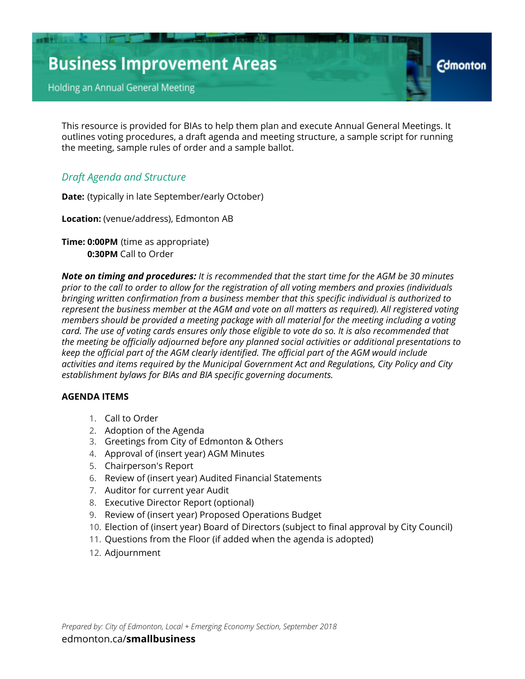Holding an Annual General Meeting

This resource is provided for BIAs to help them plan and execute Annual General Meetings. It outlines voting procedures, a draft agenda and meeting structure, a sample script for running the meeting, sample rules of order and a sample ballot.

**Edmonton** 

### *Draft Agenda and Structure*

**Date:** (typically in late September/early October)

**Location:** (venue/address), Edmonton AB

**Time: 0:00PM** (time as appropriate)  **0:30PM** Call to Order

*Note on timing and procedures: It is recommended that the start time for the AGM be 30 minutes prior to the call to order to allow for the registration of all voting members and proxies (individuals bringing written confirmation from a business member that this specific individual is authorized to represent the business member at the AGM and vote on all matters as required). All registered voting members should be provided a meeting package with all material for the meeting including a voting card. The use of voting cards ensures only those eligible to vote do so. It is also recommended that the meeting be officially adjourned before any planned social activities or additional presentations to keep the official part of the AGM clearly identified. The official part of the AGM would include activities and items required by the Municipal Government Act and Regulations, City Policy and City establishment bylaws for BIAs and BIA specific governing documents.*

#### **AGENDA ITEMS**

- 1. Call to Order
- 2. Adoption of the Agenda
- 3. Greetings from City of Edmonton & Others
- 4. Approval of (insert year) AGM Minutes
- 5. Chairperson's Report
- 6. Review of (insert year) Audited Financial Statements
- 7. Auditor for current year Audit
- 8. Executive Director Report (optional)
- 9. Review of (insert year) Proposed Operations Budget
- 10. Election of (insert year) Board of Directors (subject to final approval by City Council)
- 11. Questions from the Floor (if added when the agenda is adopted)
- 12. Adjournment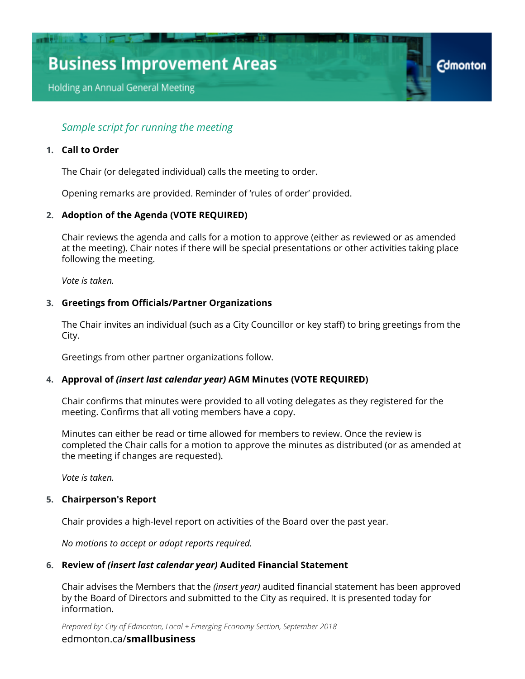Holding an Annual General Meeting

### *Sample script for running the meeting*

#### **1. Call to Order**

The Chair (or delegated individual) calls the meeting to order.

Opening remarks are provided. Reminder of 'rules of order' provided.

#### **2. Adoption of the Agenda (VOTE REQUIRED)**

Chair reviews the agenda and calls for a motion to approve (either as reviewed or as amended at the meeting). Chair notes if there will be special presentations or other activities taking place following the meeting.

**Edmonton** 

*Vote is taken.*

#### **3. Greetings from Officials/Partner Organizations**

The Chair invites an individual (such as a City Councillor or key staff) to bring greetings from the City.

Greetings from other partner organizations follow.

#### **4. Approval of** *(insert last calendar year)* **AGM Minutes (VOTE REQUIRED)**

Chair confirms that minutes were provided to all voting delegates as they registered for the meeting. Confirms that all voting members have a copy.

Minutes can either be read or time allowed for members to review. Once the review is completed the Chair calls for a motion to approve the minutes as distributed (or as amended at the meeting if changes are requested).

*Vote is taken.*

#### **5. Chairperson's Report**

Chair provides a high-level report on activities of the Board over the past year.

*No motions to accept or adopt reports required.*

#### **6. Review of** *(insert last calendar year)* **Audited Financial Statement**

Chair advises the Members that the *(insert year)* audited financial statement has been approved by the Board of Directors and submitted to the City as required. It is presented today for information.

*Prepared by: City of Edmonton, Local + Emerging Economy Section, September 2018* [edmonton.ca/](http://edmonton.ca/smallbusiness)**[smallbusiness](http://edmonton.ca/smallbusiness)**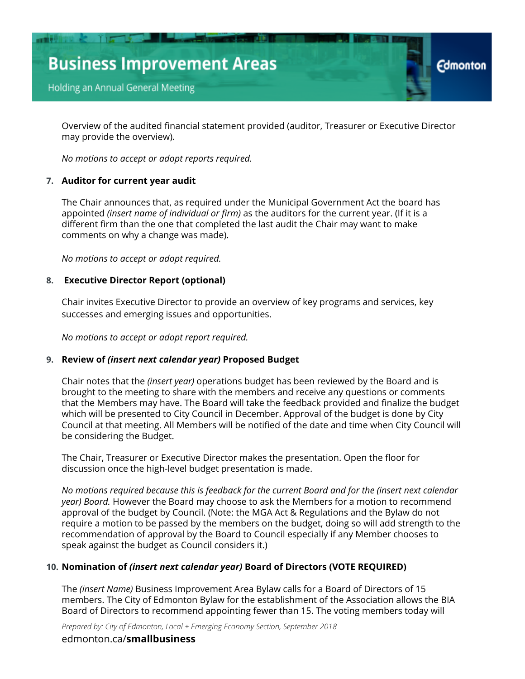

Overview of the audited financial statement provided (auditor, Treasurer or Executive Director may provide the overview).

*No motions to accept or adopt reports required.*

#### **7. Auditor for current year audit**

The Chair announces that, as required under the Municipal Government Act the board has appointed *(insert name of individual or firm)* as the auditors for the current year. (If it is a different firm than the one that completed the last audit the Chair may want to make comments on why a change was made).

*No motions to accept or adopt required.*

#### **8. Executive Director Report (optional)**

Chair invites Executive Director to provide an overview of key programs and services, key successes and emerging issues and opportunities.

*No motions to accept or adopt report required.*

#### **9. Review of** *(insert next calendar year)* **Proposed Budget**

Chair notes that the *(insert year)* operations budget has been reviewed by the Board and is brought to the meeting to share with the members and receive any questions or comments that the Members may have. The Board will take the feedback provided and finalize the budget which will be presented to City Council in December. Approval of the budget is done by City Council at that meeting. All Members will be notified of the date and time when City Council will be considering the Budget.

The Chair, Treasurer or Executive Director makes the presentation. Open the floor for discussion once the high-level budget presentation is made.

*No motions required because this is feedback for the current Board and for the (insert next calendar year) Board.* However the Board may choose to ask the Members for a motion to recommend approval of the budget by Council. (Note: the MGA Act & Regulations and the Bylaw do not require a motion to be passed by the members on the budget, doing so will add strength to the recommendation of approval by the Board to Council especially if any Member chooses to speak against the budget as Council considers it.)

#### **10. Nomination of** *(insert next calendar year)* **Board of Directors (VOTE REQUIRED)**

The *(insert Name)* Business Improvement Area Bylaw calls for a Board of Directors of 15 members. The City of Edmonton Bylaw for the establishment of the Association allows the BIA Board of Directors to recommend appointing fewer than 15. The voting members today will

*Prepared by: City of Edmonton, Local + Emerging Economy Section, September 2018* [edmonton.ca/](http://edmonton.ca/smallbusiness)**[smallbusiness](http://edmonton.ca/smallbusiness)**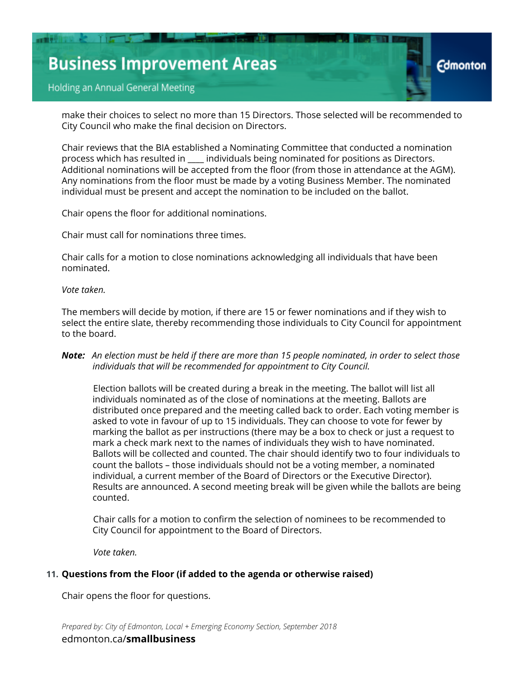make their choices to select no more than 15 Directors. Those selected will be recommended to City Council who make the final decision on Directors.

Chair reviews that the BIA established a Nominating Committee that conducted a nomination process which has resulted in \_\_\_\_ individuals being nominated for positions as Directors. Additional nominations will be accepted from the floor (from those in attendance at the AGM). Any nominations from the floor must be made by a voting Business Member. The nominated individual must be present and accept the nomination to be included on the ballot.

Chair opens the floor for additional nominations.

Chair must call for nominations three times.

Chair calls for a motion to close nominations acknowledging all individuals that have been nominated.

*Vote taken.*

The members will decide by motion, if there are 15 or fewer nominations and if they wish to select the entire slate, thereby recommending those individuals to City Council for appointment to the board.

#### *Note: An election must be held if there are more than 15 people nominated, in order to select those individuals that will be recommended for appointment to City Council.*

Election ballots will be created during a break in the meeting. The ballot will list all individuals nominated as of the close of nominations at the meeting. Ballots are distributed once prepared and the meeting called back to order. Each voting member is asked to vote in favour of up to 15 individuals. They can choose to vote for fewer by marking the ballot as per instructions (there may be a box to check or just a request to mark a check mark next to the names of individuals they wish to have nominated. Ballots will be collected and counted. The chair should identify two to four individuals to count the ballots – those individuals should not be a voting member, a nominated individual, a current member of the Board of Directors or the Executive Director). Results are announced. A second meeting break will be given while the ballots are being counted.

Chair calls for a motion to confirm the selection of nominees to be recommended to City Council for appointment to the Board of Directors.

*Vote taken.*

#### **11. Questions from the Floor (if added to the agenda or otherwise raised)**

Chair opens the floor for questions.

*Prepared by: City of Edmonton, Local + Emerging Economy Section, September 2018* [edmonton.ca/](http://edmonton.ca/smallbusiness)**[smallbusiness](http://edmonton.ca/smallbusiness)**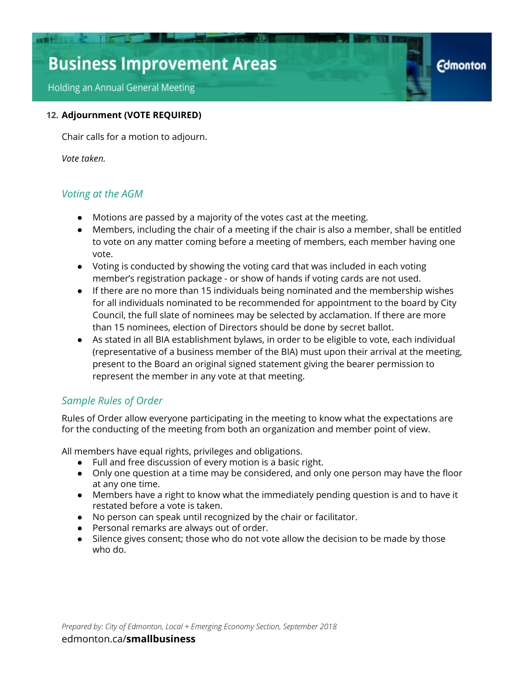Holding an Annual General Meeting

#### **12. Adjournment (VOTE REQUIRED)**

Chair calls for a motion to adjourn.

*Vote taken.*

### *Voting at the AGM*

- Motions are passed by a majority of the votes cast at the meeting.
- Members, including the chair of a meeting if the chair is also a member, shall be entitled to vote on any matter coming before a meeting of members, each member having one vote.

**Edmonton** 

- Voting is conducted by showing the voting card that was included in each voting member's registration package - or show of hands if voting cards are not used.
- If there are no more than 15 individuals being nominated and the membership wishes for all individuals nominated to be recommended for appointment to the board by City Council, the full slate of nominees may be selected by acclamation. If there are more than 15 nominees, election of Directors should be done by secret ballot.
- As stated in all BIA establishment bylaws, in order to be eligible to vote, each individual (representative of a business member of the BIA) must upon their arrival at the meeting, present to the Board an original signed statement giving the bearer permission to represent the member in any vote at that meeting.

### *Sample Rules of Order*

Rules of Order allow everyone participating in the meeting to know what the expectations are for the conducting of the meeting from both an organization and member point of view.

All members have equal rights, privileges and obligations.

- Full and free discussion of every motion is a basic right.
- Only one question at a time may be considered, and only one person may have the floor at any one time.
- Members have a right to know what the immediately pending question is and to have it restated before a vote is taken.
- No person can speak until recognized by the chair or facilitator.
- Personal remarks are always out of order.
- Silence gives consent; those who do not vote allow the decision to be made by those who do.